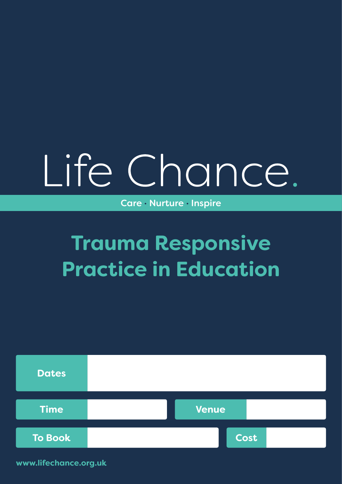# Life Chance.

Care · Nurture · Inspire

## **Trauma Responsive Practice in Education**



**www.lifechance.org.uk**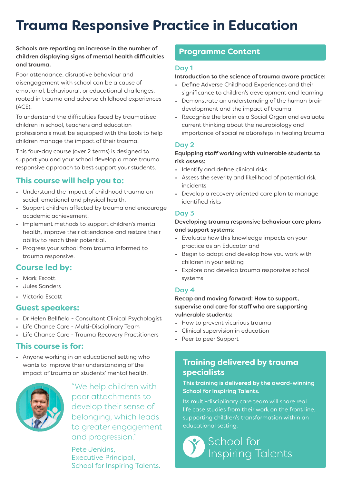## **Trauma Responsive Practice in Education**

#### Schools are reporting an increase in the number of children displaying signs of mental health difficulties and trauma.

Poor attendance, disruptive behaviour and disengagement with school can be a cause of emotional, behavioural, or educational challenges, rooted in trauma and adverse childhood experiences (ACE).

To understand the difficulties faced by traumatised children in school, teachers and education professionals must be equipped with the tools to help children manage the impact of their trauma.

This four-day course (over 2 terms) is designed to support you and your school develop a more trauma responsive approach to best support your students.

#### **This course will help you to:**

- Understand the impact of childhood trauma on social, emotional and physical health.
- Support children affected by trauma and encourage academic achievement.
- Implement methods to support children's mental health, improve their attendance and restore their ability to reach their potential.
- Progress your school from trauma informed to trauma responsive.

#### **Course led by:**

- Mark Escott.
- Jules Sanders
- Victoria Escott

#### **Guest speakers:**

- Dr Helen Bellfield Consultant Clinical Psychologist
- Life Chance Care Multi-Disciplinary Team
- Life Chance Care Trauma Recovery Practitioners

#### **This course is for:**

• Anyone working in an educational setting who wants to improve their understanding of the impact of trauma on students' mental health.



"We help children with poor attachments to develop their sense of belonging, which leads to greater engagement and progression."

Pete Jenkins, Executive Principal, School for Inspiring Talents.

#### **Programme Content**

#### Day 1

#### Introduction to the science of trauma aware practice:

- Define Adverse Childhood Experiences and their significance to children's development and learning
- Demonstrate an understanding of the human brain development and the impact of trauma
- Recognise the brain as a Social Organ and evaluate current thinking about the neurobiology and importance of social relationships in healing trauma

#### Day 2

#### Equipping staff working with vulnerable students to risk assess:

- Identify and define clinical risks
- Assess the severity and likelihood of potential risk incidents
- Develop a recovery oriented care plan to manage identified risks

#### Day 3

#### Developing trauma responsive behaviour care plans and support systems:

- Evaluate how this knowledge impacts on your practice as an Educator and
- Begin to adapt and develop how you work with children in your setting
- Explore and develop trauma responsive school systems

#### Day 4

Recap and moving forward: How to support, supervise and care for staff who are supporting vulnerable students:

- How to prevent vicarious trauma
- Clinical supervision in education
- Peer to peer Support

#### **Training delivered by trauma specialists**

#### This training is delivered by the award-winning School for Inspiring Talents.

Its multi-disciplinary care team will share real life case studies from their work on the front line, supporting children's transformation within an educational setting.

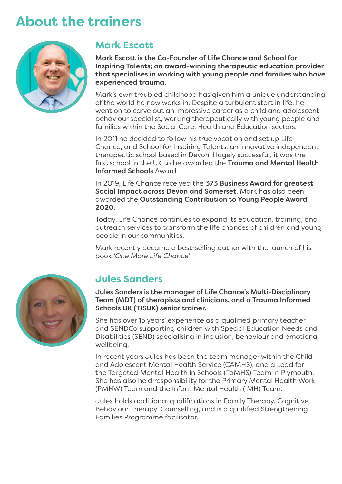## **About the trainers**



#### **Mark Escott**

Mark Escott is the Co-Founder of Life Chance and School for Inspiring Talents; an award-winning therapeutic education provider that specialises in working with young people and families who have experienced trauma.

Mark's own troubled childhood has given him a unique understanding of the world he now works in. Despite a turbulent start in life, he went on to carve out an impressive career as a child and adolescent behaviour specialist, working therapeutically with young people and families within the Social Care, Health and Education sectors.

In 2011 he decided to follow his true vocation and set up Life Chance, and School for Inspiring Talents, an innovative independent therapeutic school based in Devon. Hugely successful, it was the first school in the UK to be awarded the Trauma and Mental Health Informed Schools Award.

In 2019, Life Chance received the 373 Business Award for greatest Social Impact across Devon and Somerset. Mark has also been awarded the Outstanding Contribution to Young People Award 2020.

Today, Life Chance continues to expand its education, training, and outreach services to transform the life chances of children and young people in our communities.

Mark recently became a best-selling author with the launch of his book *'One More Life Chance'*.



#### **Jules Sanders**

Jules Sanders is the manager of Life Chance's Multi-Disciplinary Team (MDT) of therapists and clinicians, and a Trauma Informed Schools UK (TISUK) senior trainer.

She has over 15 years' experience as a qualified primary teacher and SENDCo supporting children with Special Education Needs and Disabilities (SEND) specialising in inclusion, behaviour and emotional wellbeing.

In recent years Jules has been the team manager within the Child and Adolescent Mental Health Service (CAMHS), and a Lead for the Targeted Mental Health in Schools (TaMHS) Team in Plymouth. She has also held responsibility for the Primary Mental Health Work (PMHW) Team and the Infant Mental Health (IMH) Team.

Jules holds additional qualifications in Family Therapy, Cognitive Behaviour Therapy, Counselling, and is a qualified Strengthening Families Programme facilitator.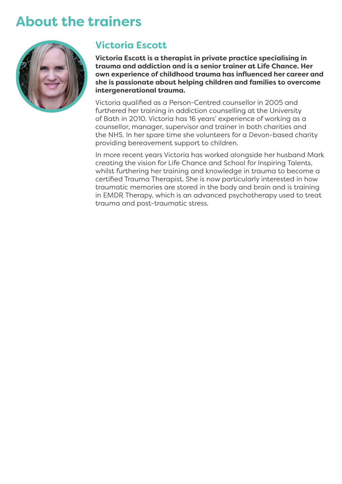### **About the trainers**



#### **Victoria Escott**

**Victoria Escott is a therapist in private practice specialising in trauma and addiction and is a senior trainer at Life Chance. Her own experience of childhood trauma has influenced her career and she is passionate about helping children and families to overcome intergenerational trauma.**

Victoria qualified as a Person-Centred counsellor in 2005 and furthered her training in addiction counselling at the University of Bath in 2010. Victoria has 16 years' experience of working as a counsellor, manager, supervisor and trainer in both charities and the NHS. In her spare time she volunteers for a Devon-based charity providing bereavement support to children.

In more recent years Victoria has worked alongside her husband Mark creating the vision for Life Chance and School for Inspiring Talents, whilst furthering her training and knowledge in trauma to become a certified Trauma Therapist. She is now particularly interested in how traumatic memories are stored in the body and brain and is training in EMDR Therapy, which is an advanced psychotherapy used to treat trauma and post-traumatic stress.